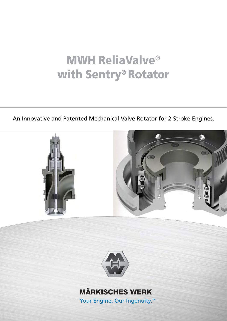# MWH ReliaValve® with Sentry® Rotator

An Innovative and Patented Mechanical Valve Rotator for 2-Stroke Engines.





# **MÄRKISCHES WERK**

Your Engine. Our Ingenuity.<sup>™</sup>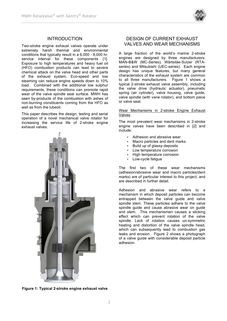

# INTRODUCTION

Two-stroke engine exhaust valves operate under extremely harsh thermal and environmental conditions that typically result in a 6,000 - 8,000 hr. service interval for these components [1]. Exposure to high temperatures and heavy fuel oil (HFO) combustion products can lead to severe chemical attack on the valve head and other parts of the exhaust system. Eco-speed and low steaming can reduce engine speeds down to 10% load. Combined with the additional low sulphur requirements, these conditions can promote rapid wear of the valve spindle seat surface. MWH has seen by-products of the combustion with ashes of non-burning constituents coming from the HFO as well as from the lubeoil.

This paper describes the design, testing and serial operation of a novel mechanical valve rotator for increasing the service life of 2-stroke engine exhaust valves.



# DESIGN OF CURRENT EXHAUST VALVES AND WEAR MECHANISMS

A large fraction of the world's marine 2-stroke engines are designed by three manufacturers: MAN-B&W (MC-Series), Wärtsiläe-Sulzer (RTAseries) and Mitsubishi (UEC-series). Each engine design has unique features, but many general characteristics of the exhaust system are common to all three manufacturers. Figure 1 shows a typical 2-stroke exhaust valve assembly, including the valve drive (hydraulic actuator), pneumatic spring (air cylinder), valve housing, valve guide, valve spindle (with vane rotator), and bottom piece or valve seat.

#### Wear Mechanisms in 2-stroke Engine Exhaust Valves

The most prevalent wear mechanisms in 2-stroke engine valves have been described in [2] and include:

- Adhesion and abrasive wear
- Macro particles and dent marks
- Build up of glassy-deposits
- Low temperature corrosion
- High temperature corrosion
- Low-cycle fatique

The first two of these wear mechanisms (adhesion/abrasive wear and macro particles/dent marks) are of particular interest to this project, and are described in further detail.

Adhesion and abrasive wear refers to a mechanism in which deposit particles can become entrapped between the valve guide and valve spindle stem. These particles adhere to the valve spindle guide and cause abrasive wear on guide and stem. This mechanismen causes a sticking effect which can prevent rotation of the valve spindle. Lack of rotation causes un-symmetric heating and distortion of the valve spindle head, which can subsequently lead to combustion gas leaks and erosion. Figure 2 shows a photograph of a valve guide with considerable deposit particle adhesion.

**Figure 1: Typical 2-stroke engine exhaust valve**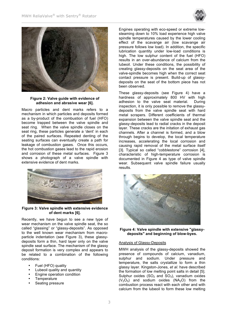



#### **Figure 2: Valve guide with evidence of adhesion and abrasive wear [6].**

Macro particles and dent marks refers to a mechanism in which particles and deposits formed as a by-product of the combustion of fuel (HFO) become trapped between the valve spindle and seat ring. When the valve spindle closes on the seat ring, these particles generate a 'dent' in each of the paired surfaces. Repeated denting of the seating surfaces can eventually create a path for leakage of combustion gases. Once this occurs, the hot combustion gases lead to the rapid erosion and corrosion of these metal surfaces. Figure 3 shows a photograph of a valve spindle with extensive evidence of dent marks.



#### **Figure 3: Valve spindle with extensive evidence of dent marks [6].**

Recently, we have begun to see a new type of wear mechanism on the valve spindle seat, the so called "glassing" or "glassy-deposits". As opposed to the well known wear mechanism from macroparticle indentation (see Figure 3), these glassydeposits form a thin, hard layer only on the valve spindle seat surface. The mechanism of the glassy deposit formation is very complex and appears to be related to a combination of the following conditions:

- Fuel (HFO) quality
- Lubeoil quality and quantity
- Engine operation condition
- **Temperature**
- Seating pressure

Engines operating with eco-speed or extreme lowsteaming down to 10% load experience high valve spindle temperatures caused by the lower cooling effect of the scavange air (low scavange air pressure follows low load). In addition, the specific lubrication quantity under low-load conditions is high. The low sulphur content of the fuel (HFO) results in an over-abundance of calcium from the lubeoil. Under these conditions, the possibility of creating glassy-deposits on the seat area of the valve-spindle becomes high when the correct seat contact pressure is present. Build-up of glassydeposits on the seat of the bottom piece has not been observed.

These glassy-deposits (see Figure 4) have a hardness of approximately 800 HV with high adhesion to the valve seat material. During inspection, it is only possible to remove the glassydeposits from the valve spindle seat with hard metal scrapers. Different coefficients of thermal expansion between the valve spindle seat and the glassy-deposits lead to radial cracks in the deposit layer. These cracks are the initation of exhaust gas channels. After a channel is formed, and a blow through begins to develop, the local temperature increases, accelerating the local corrosion and causing rapid removal of the metal surface itself [3]. Typical so called "cobblestone" corrosion [4], characteristic of high-temperature corrosion is documented in Figure 4 as type of valve spindle wear. Subsequent valve spindle failure usually results.



**Figure 4: Valve spindle with extensive "glassydeposits" and beginning of blow-byes.**

#### Analysis of Glassy-Deposits

MWH analysis of the glassy-deposits showed the presence of compounds of calcium, vanadium, sulphur and sodium. Under pressure and temperature, the salts crystallize to form a thin glassy layer. Kingston-Jones, *et al*. have described the formation of low melting point salts in detail [5]. Sulphur oxides  $(SO<sub>2</sub>$  and  $SO<sub>3</sub>)$ , vanadium oxides  $(V<sub>2</sub>O<sub>5</sub>)$  and sodium oxides  $(NA<sub>2</sub>O)$  from the combustion process react with each other and with calcium from the lubeoil to form these low melting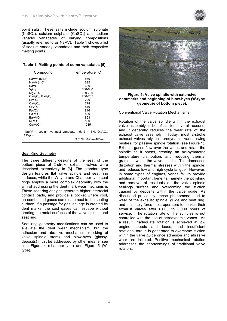

point salts. These salts include sodium sulphate (NaSO<sub>4</sub>), calcium sulphate (CaSO<sub>4</sub>) and sodium vanadyl vanadates of varying compositions (usually referred to as NaVV). Table 1 shows a list of sodium vanadyl vanadates and their respective melting points.

| Table 1: Melting points of some vanadates [5]. |  |
|------------------------------------------------|--|
|------------------------------------------------|--|

| Compound                                                                                                                                                                                                                 | Temperature °C |
|--------------------------------------------------------------------------------------------------------------------------------------------------------------------------------------------------------------------------|----------------|
| NaVV* (5:12)                                                                                                                                                                                                             | 570            |
| NaVV (1:6)                                                                                                                                                                                                               | 625            |
| NaVO <sub>3</sub>                                                                                                                                                                                                        | 630            |
| $V_2O_5$                                                                                                                                                                                                                 | 650-680        |
| MqV <sub>2</sub> O <sub>6</sub>                                                                                                                                                                                          | 680-700        |
| $CaV2O6$ , BaV <sub>2</sub> O <sub>6</sub>                                                                                                                                                                               | 700-705        |
| NiV <sub>2</sub> O <sub>6</sub>                                                                                                                                                                                          | 720            |
| CaV <sub>2</sub> O <sub>6</sub>                                                                                                                                                                                          | 778            |
| CrVO <sub>a</sub>                                                                                                                                                                                                        | 810            |
| FeVO <sub>4</sub>                                                                                                                                                                                                        | 816            |
| $Ca2V2O7$                                                                                                                                                                                                                | 820            |
| Ba <sub>2</sub> V <sub>2</sub> O <sub>7</sub>                                                                                                                                                                            | 863            |
| $Ni2V2O7$                                                                                                                                                                                                                | 880            |
| $Ca_2V_2O_7$                                                                                                                                                                                                             | 1015           |
| *NaVV = sodium vanadyl vanadate $5:12 = 5$ Na <sub>2</sub> O.V <sub>2</sub> O <sub>4</sub> .<br>11V <sub>2</sub> O <sub>5</sub><br>1:6 = Na <sub>2</sub> O.V <sub>2</sub> O <sub>4</sub> .5V <sub>2</sub> O <sub>5</sub> |                |

#### Seat Ring Geometry

The three different designs of the seat of the bottom piece of 2-stroke exhaust valves were described extensively in [6]. The standard-type design features flat valve spindle and seat ring surfaces, while the W-type and Chamber-type seat rings employ a more complex geometry with the aim of addressing the dent mark wear mechanism. These seat ring designs generate higher interfacial contact loads, and provide a pocket where cool, un-combusted gases can reside next to the seating surface. If a passage for gas leakage is created by dent marks, the cool gases can escape without eroding the metal surfaces of the valve spindle and seat ring.

Seat ring geometry modifications can be used to alleviate the dent wear mechanism, but the adhesion and abrasive mechanism (sticking of valve spindle stem) and blow-byes (glassydeposits) must be addressed by other means, see also Figure 4 (chamber-type) and Figure 5 (Wtype).



**Figure 5: Valve spindle with extensive dentmarks and beginning of blow-byes (W-type geometrie of bottom piece).**

#### Conventional Valve Rotation Mechanisms

Rotation of the valve spindle within the exhaust valve assembly is beneficial for several reasons, and it generally reduces the wear rate of the exhaust valve assembly. Today, most 2-stroke exhaust valves rely on aerodynamic vanes (wing bushes) for passive spindle rotation (see Figure 1). Exhaust gases flow over the vanes and rotate the spindle as it opens, creating an axi-symmetric temperature distribution, and reducing thermal gradients within the valve spindle. This decreases distortion and thermal stresses within the spindle, and reduces low and high cycle fatigue. However, in some types of engines, vanes fail to provide additional important benefits, namely the polishing and removal of residuals on the valve spindle sealings surface and overcoming the stiction caused by deposits within the valve guide. As discussed previously, these phenomena lead to wear of the exhaust spindle, guide and seat ring, and ultimately force most operators to service their exhaust valves after 6,000 to 8,000 hours of service. The rotation rate of the spindles is not controlled with the use of aerodynamic vanes. As a result, inadequate rotation is achieved at low engine speeds and loads, and insufficient rotational torque is generated to overcome stiction within the valve guide once adhesion and abrasive wear are initiated. Positive mechanical rotation addresses the shortcomings of traditional valve rotators.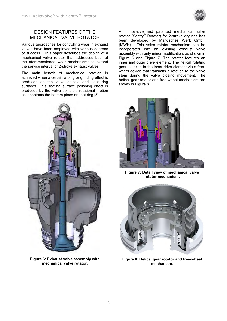

# DESIGN FEATURES OF THE MECHANICAL VALVE ROTATOR

Various approaches for controlling wear in exhaust valves have been employed with various degrees of success. This paper describes the design of a mechanical valve rotator that addresses both of the aforementioned wear mechanisms to extend the service interval of 2-stroke exhaust valves.

The main benefit of mechanical rotation is achieved when a certain wiping or grinding effect is produced on the valve spindle and seat ring surfaces. This seating surface polishing effect is produced by the valve spindle's rotational motion as it contacts the bottom piece or seat ring [5].



**Figure 6: Exhaust valve assembly with mechanical valve rotator.**

An innovative and patented mechanical valve rotator (Sentry® Rotator) for 2-stroke engines has been developed by Märkisches Werk GmbH (MWH). This valve rotator mechanism can be incorporated into an existing exhaust valve assembly with only minor modification, as shown in Figure 6 and Figure 7. The rotator features an inner and outer drive element. The helical rotating gear is linked to the inner drive element via a freewheel device that transmits a rotation to the valve stem during the valve closing movement. The helical gear rotator and free-wheel mechanism are shown in Figure 8.



**Figure 7: Detail view of mechanical valve rotator mechanism.**



**Figure 8: Helical gear rotator and free-wheel mechanism.**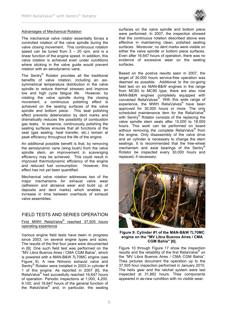

#### Advantages of Mechanical Rotation

The mechanical valve rotator essentially forces a controlled rotation of the valve spindle during the valve closing movement. This continuous rotation speed can be tuned from  $3 - 20$  rpm, and is a linear function of the engine speed. In addition, this valve rotation is achieved even under conditions where sticking in the valve guide would prevent rotation with an aerodynamic vane.

The Sentry® Rotator provides all the traditional benefits of valve rotation, including an axisymmetrical temperature distribution in the valve spindle to reduce thermal stresses and improve low and high cycle fatigue life. However, by rotating the valve spindle during the closing movement, a continuous polishing effect is achieved on the seating surfaces of the valve spindle and bottom piece. This seat polishing effect prevents deterioration by dent marks and dramatically reduces the possibility of combustion gas leaks. In essence, continuously polishing the seating surfaces ensures that all functions of the seat (gas sealing, heat transfer, etc.) remain at peak efficiency throughout the life of the engine.

An additional possible benefit is that, by removing the aerodynamic vane (wing bush) from the valve spindle stem, an improvement in scavenging efficiency may be achieved. This could result in improved thermodynamic efficiency of the engine and reduced fuel consumption. However, this effect has not yet been quantified.

Mechanical valve rotation addresses two of the major mechanisms for exhaust valve wear (adhesion and abrasive wear and build up of deposits and dent marks) which enables an increase in time between overhauls of exhaust valve assemblies.

# FIELD TESTS AND SERIES OPERATION

First MWH ReliaValve<sup>®</sup> reached 37,505 hours operating experience

Various engine field tests have been in progress since 2003, on several engine types and sizes. The results of the first four years were documented in [6]. One such field test was performed on the "MV Libra Buenos Aires / CMA CGM Bahia", which is powered with a MAN-B&W 7L70MC engine (see Figure 9). A new Nimonic exhaust valve and Sentry® Rotator were installed in 2003 in cylinder # 1 of this engine. As reported in 2007 [6], the ReliaValve® had succesfully reached 16,647 hours of operation. Periodic inspections at 1,000, 4,200, 9,100, and 16,647 hours of the general function of the ReliaValve® and, in particular, the seating surfaces on the valve spindle and bottom piece were performed. In 2007, the inspection showed that the continuous rotation described above was effective in maintaining clean, polished seating surfaces. Moreover, no dent marks were visible on either the valve spindle or bottom piece surfaces. Even after 16,647 hours of operation, there was no evidence of excessive wear on the seating surfaces.

Based on the postive results seen in 2007, the target of 30,000 hours service-free operation was deemed as possible. Additional to the on-going field test on six MAN-B&W engines in the range from MC60 to MC90 type, there are also nine MAN-B&W engines completely equipped with converted ReliaValves® . With this wide range of experience, the MWH ReliaValves<sup>®</sup> have been approved for 30,000 hours or more. The only scheduled maintenance item for the ReliaValve<sup>®</sup> with Sentry® Rotator consists of the replacing the valve spindle stem seals after 15,000 to 18,000 hours. This work can be performed on board without removing the complete ReliaValve<sup>®</sup> from the engine. Only disassembly of the valve drive and air cylinder is necessary to change the stem sealings. It is recommended that the free-wheel mechanism and axial bearings of the Sentry® Rotator be inspected every 30,000 hours and replaced, if necessary.



**Figure 9: Cylinder #1 of the MAN-B&W 7L70MC engine on the "MV Libra Buenos Aires / CMA CGM Bahia" [6].**

Figure 10 through Figure 17 show the inspection results and the reliability of the first ReliaValve<sup>®</sup> on the "MV Libra Buenos Aires / CMA CGM Bahia". Thes pictures document the operation up to the 37,505 hour inspection performed in January 2010. The helix gear and the ratchet system were last inspected at 31,882 hours. Thes components appeared in as-new condition with no visible wear.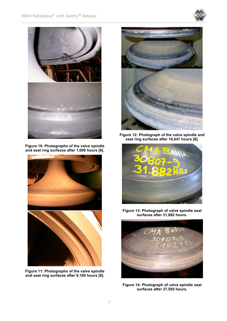



**Figure 10: Photographs of the valve spindle and seat ring surfaces after 1,000 hours [6].**



**Figure 11: Photographs of the valve spindle and seat ring surfaces after 9,100 hours [6].**



**Figure 12: Photograph of the valve spindle and seat ring surfaces after 16,647 hours [6].**



**Figure 13: Photograph of valve spindle seat surfaces after 31,882 hours.**



**Figure 14: Photograph of valve spindle seat surfaces after 37,505 hours.**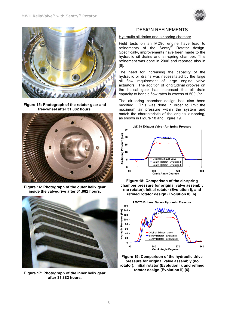



**Figure 15: Photograph of the rotator gear and free-wheel after 31,882 hours.**



**Figure 16: Photograph of the outer helix gear inside the valvedrive after 31,882 hours.**



**Figure 17: Photograph of the inner helix gear after 31,882 hours.**

#### DESIGN REFINEMENTS

#### Hydraulic oil drains and air spring chamber

Field tests on an MC90 engine have lead to refinements of the Sentry® Rotator design. Specifically, improvements have been made to the hydraulic oil drains and air-spring chamber. This refinement was done in 2006 and reported also in [6].

The need for increasing the capacity of the hydraulic oil drains was necessitated by the large oil flow requirement of large engine valve actuators. The addition of longitudinal grooves on the helical gear has increased the oil drain capacity to handle flow rates in excess of 500 l/hr.

The air-spring chamber design has also been modified. This was done in order to limit the maximum air pressure within the system and match the characteristic of the original air-spring, as shown in Figure 18 and Figure 19.







**Figure 19: Comparison of the hydraulic drive pressure for original valve assembly (no rotator), initial rotator (Evolution I), and refined rotator design (Evolution II) [6].**